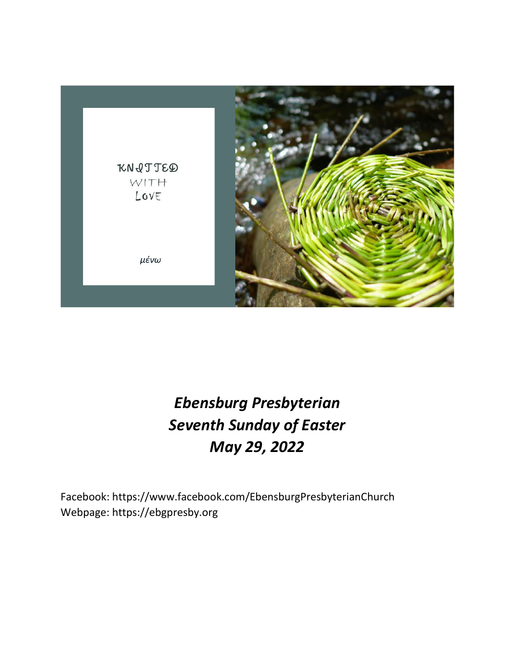

# *Ebensburg Presbyterian Seventh Sunday of Easter May 29, 2022*

Facebook: https://www.facebook.com/EbensburgPresbyterianChurch Webpage: https://ebgpresby.org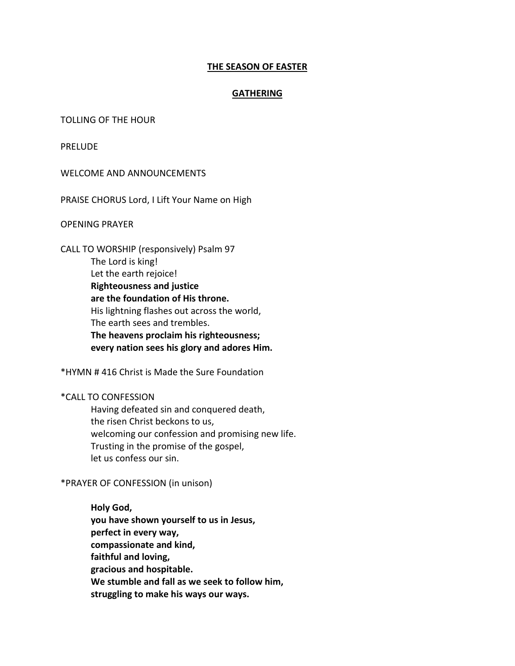# **THE SEASON OF EASTER**

# **GATHERING**

## TOLLING OF THE HOUR

PRELUDE

WELCOME AND ANNOUNCEMENTS

PRAISE CHORUS Lord, I Lift Your Name on High

OPENING PRAYER

CALL TO WORSHIP (responsively) Psalm 97 The Lord is king! Let the earth rejoice! **Righteousness and justice are the foundation of His throne.** His lightning flashes out across the world, The earth sees and trembles. **The heavens proclaim his righteousness; every nation sees his glory and adores Him.** 

\*HYMN # 416 Christ is Made the Sure Foundation

\*CALL TO CONFESSION

Having defeated sin and conquered death, the risen Christ beckons to us, welcoming our confession and promising new life. Trusting in the promise of the gospel, let us confess our sin.

\*PRAYER OF CONFESSION (in unison)

**Holy God, you have shown yourself to us in Jesus, perfect in every way, compassionate and kind, faithful and loving, gracious and hospitable. We stumble and fall as we seek to follow him, struggling to make his ways our ways.**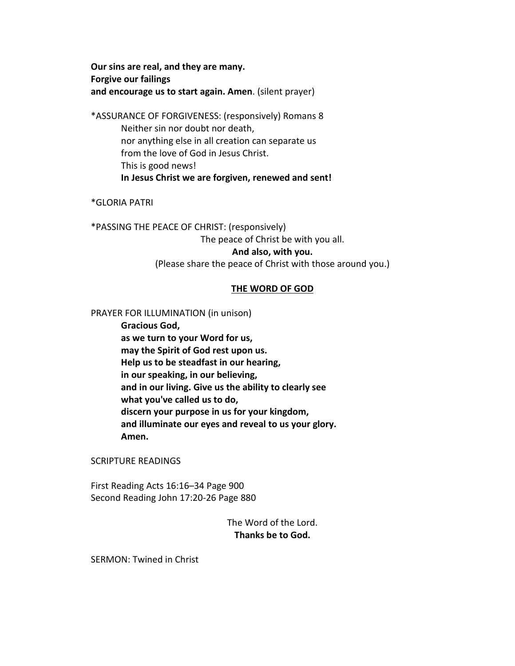**Our sins are real, and they are many. Forgive our failings and encourage us to start again. Amen**. (silent prayer)

\*ASSURANCE OF FORGIVENESS: (responsively) Romans 8 Neither sin nor doubt nor death, nor anything else in all creation can separate us from the love of God in Jesus Christ. This is good news! **In Jesus Christ we are forgiven, renewed and sent!**

\*GLORIA PATRI

\*PASSING THE PEACE OF CHRIST: (responsively) The peace of Christ be with you all. **And also, with you.** (Please share the peace of Christ with those around you.)

## **THE WORD OF GOD**

PRAYER FOR ILLUMINATION (in unison)

**Gracious God, as we turn to your Word for us, may the Spirit of God rest upon us. Help us to be steadfast in our hearing, in our speaking, in our believing, and in our living. Give us the ability to clearly see what you've called us to do, discern your purpose in us for your kingdom, and illuminate our eyes and reveal to us your glory. Amen.**

SCRIPTURE READINGS

First Reading Acts 16:16–34 Page 900 Second Reading John 17:20-26 Page 880

> The Word of the Lord. **Thanks be to God.**

SERMON: Twined in Christ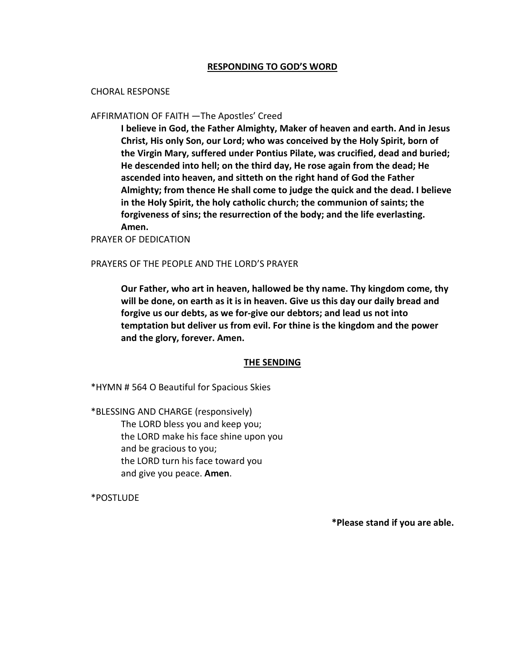## **RESPONDING TO GOD'S WORD**

#### CHORAL RESPONSE

## AFFIRMATION OF FAITH —The Apostles' Creed

**I believe in God, the Father Almighty, Maker of heaven and earth. And in Jesus Christ, His only Son, our Lord; who was conceived by the Holy Spirit, born of the Virgin Mary, suffered under Pontius Pilate, was crucified, dead and buried; He descended into hell; on the third day, He rose again from the dead; He ascended into heaven, and sitteth on the right hand of God the Father Almighty; from thence He shall come to judge the quick and the dead. I believe in the Holy Spirit, the holy catholic church; the communion of saints; the forgiveness of sins; the resurrection of the body; and the life everlasting. Amen.**

PRAYER OF DEDICATION

## PRAYERS OF THE PEOPLE AND THE LORD'S PRAYER

**Our Father, who art in heaven, hallowed be thy name. Thy kingdom come, thy will be done, on earth as it is in heaven. Give us this day our daily bread and forgive us our debts, as we for-give our debtors; and lead us not into temptation but deliver us from evil. For thine is the kingdom and the power and the glory, forever. Amen.**

#### **THE SENDING**

\*HYMN # 564 O Beautiful for Spacious Skies

\*BLESSING AND CHARGE (responsively) The LORD bless you and keep you; the LORD make his face shine upon you and be gracious to you; the LORD turn his face toward you and give you peace. **Amen**.

\*POSTLUDE

**\*Please stand if you are able.**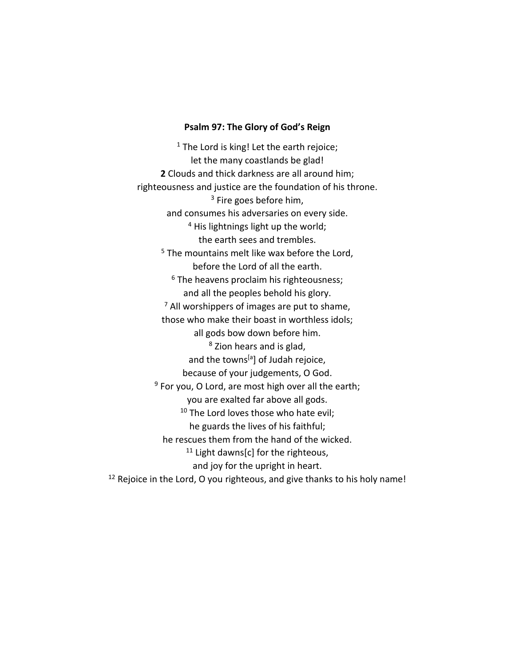## **Psalm 97: The Glory of God's Reign**

 $1$  The Lord is king! Let the earth rejoice; let the many coastlands be glad! **2** Clouds and thick darkness are all around him; righteousness and justice are the foundation of his throne. <sup>3</sup> Fire goes before him, and consumes his adversaries on every side. <sup>4</sup> His lightnings light up the world; the earth sees and trembles. <sup>5</sup> The mountains melt like wax before the Lord, before the Lord of all the earth. <sup>6</sup> The heavens proclaim his righteousness; and all the peoples behold his glory.  $<sup>7</sup>$  All worshippers of images are put to shame,</sup> those who make their boast in worthless idols; all gods bow down before him. <sup>8</sup> Zion hears and is glad, and the towns<sup>[a]</sup> of Judah rejoice, because of your judgements, O God. <sup>9</sup> For you, O Lord, are most high over all the earth; you are exalted far above all gods. <sup>10</sup> The Lord loves those who hate evil; he guards the lives of his faithful; he rescues them from the hand of the wicked.  $11$  Light dawns[c] for the righteous, and joy for the upright in heart. <sup>12</sup> Rejoice in the Lord, O you righteous, and give thanks to his holy name!